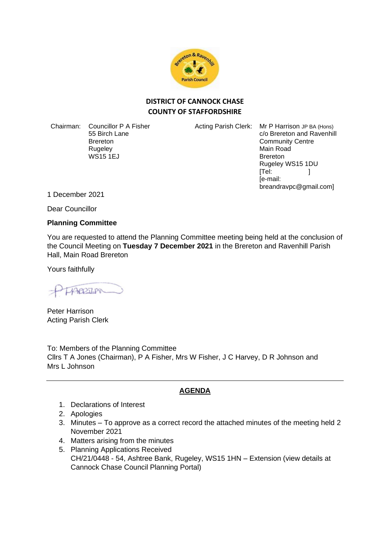

## **DISTRICT OF CANNOCK CHASE COUNTY OF STAFFORDSHIRE**

Chairman: Councillor P A Fisher 55 Birch Lane Brereton **Rugeley** WS15 1EJ

Acting Parish Clerk: Mr P Harrison JP BA (Hons) c/o Brereton and Ravenhill Community Centre Main Road Brereton Rugeley WS15 1DU  $[Tel: ]$ [e-mail: breandravpc@gmail.com]

1 December 2021

Dear Councillor

## **Planning Committee**

You are requested to attend the Planning Committee meeting being held at the conclusion of the Council Meeting on **Tuesday 7 December 2021** in the Brereton and Ravenhill Parish Hall, Main Road Brereton

Yours faithfully

TABOOTISM

Peter Harrison Acting Parish Clerk

To: Members of the Planning Committee Cllrs T A Jones (Chairman), P A Fisher, Mrs W Fisher, J C Harvey, D R Johnson and Mrs L Johnson

## **AGENDA**

- 1. Declarations of Interest
- 2. Apologies
- 3. Minutes To approve as a correct record the attached minutes of the meeting held 2 November 2021
- 4. Matters arising from the minutes
- 5. Planning Applications Received CH/21/0448 - 54, Ashtree Bank, Rugeley, WS15 1HN – Extension (view details at Cannock Chase Council Planning Portal)